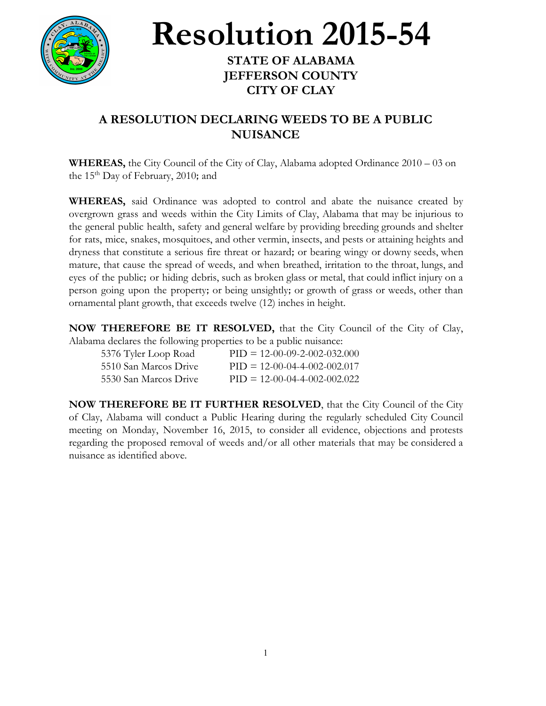

**Resolution 2015-54**

## **STATE OF ALABAMA JEFFERSON COUNTY CITY OF CLAY**

## **A RESOLUTION DECLARING WEEDS TO BE A PUBLIC NUISANCE**

**WHEREAS,** the City Council of the City of Clay, Alabama adopted Ordinance 2010 – 03 on the 15<sup>th</sup> Day of February, 2010; and

**WHEREAS,** said Ordinance was adopted to control and abate the nuisance created by overgrown grass and weeds within the City Limits of Clay, Alabama that may be injurious to the general public health, safety and general welfare by providing breeding grounds and shelter for rats, mice, snakes, mosquitoes, and other vermin, insects, and pests or attaining heights and dryness that constitute a serious fire threat or hazard; or bearing wingy or downy seeds, when mature, that cause the spread of weeds, and when breathed, irritation to the throat, lungs, and eyes of the public; or hiding debris, such as broken glass or metal, that could inflict injury on a person going upon the property; or being unsightly; or growth of grass or weeds, other than ornamental plant growth, that exceeds twelve (12) inches in height.

**NOW THEREFORE BE IT RESOLVED,** that the City Council of the City of Clay, Alabama declares the following properties to be a public nuisance:

| 5376 Tyler Loop Road  | $PID = 12-00-09-2-002-032.000$ |
|-----------------------|--------------------------------|
| 5510 San Marcos Drive | $PID = 12-00-04-4-002-002.017$ |
| 5530 San Marcos Drive | $PID = 12-00-04-4-002-002.022$ |

**NOW THEREFORE BE IT FURTHER RESOLVED**, that the City Council of the City of Clay, Alabama will conduct a Public Hearing during the regularly scheduled City Council meeting on Monday, November 16, 2015, to consider all evidence, objections and protests regarding the proposed removal of weeds and/or all other materials that may be considered a nuisance as identified above.